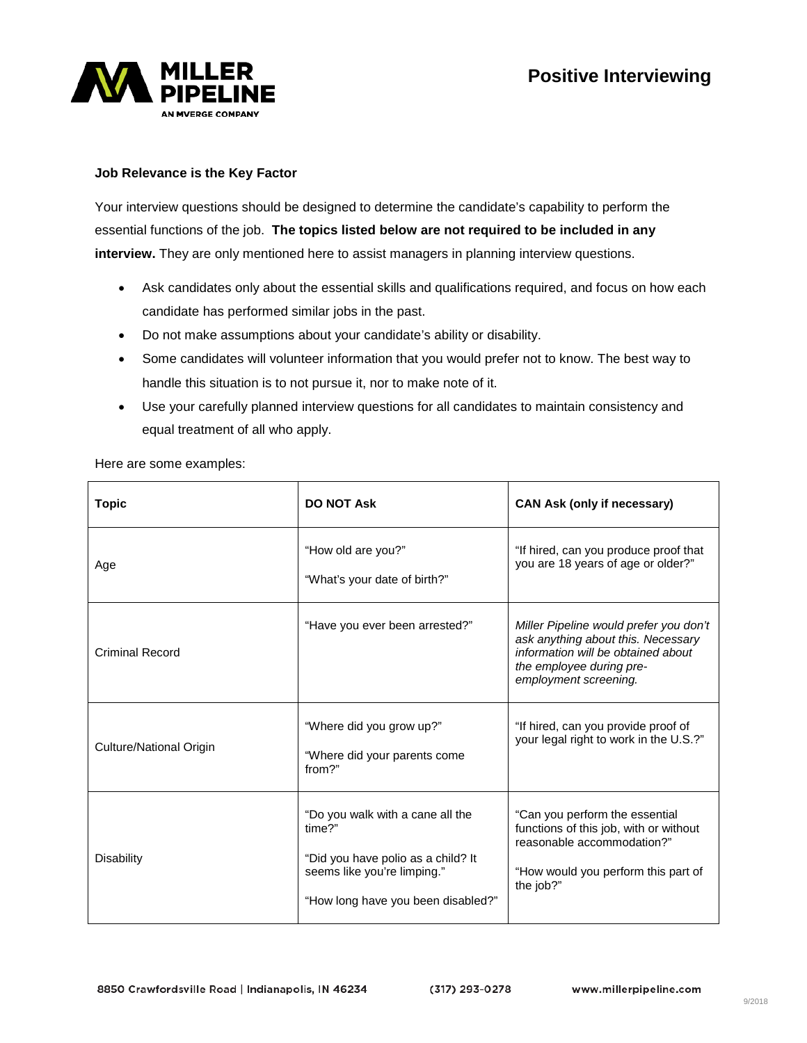



## **Job Relevance is the Key Factor**

Your interview questions should be designed to determine the candidate's capability to perform the essential functions of the job. **The topics listed below are not required to be included in any interview.** They are only mentioned here to assist managers in planning interview questions.

- Ask candidates only about the essential skills and qualifications required, and focus on how each candidate has performed similar jobs in the past.
- Do not make assumptions about your candidate's ability or disability.
- Some candidates will volunteer information that you would prefer not to know. The best way to handle this situation is to not pursue it, nor to make note of it.
- Use your carefully planned interview questions for all candidates to maintain consistency and equal treatment of all who apply.

Here are some examples:

| <b>Topic</b>            | <b>DO NOT Ask</b>                                                                                                                                     | <b>CAN Ask (only if necessary)</b>                                                                                                                                      |
|-------------------------|-------------------------------------------------------------------------------------------------------------------------------------------------------|-------------------------------------------------------------------------------------------------------------------------------------------------------------------------|
| Age                     | "How old are you?"<br>"What's your date of birth?"                                                                                                    | "If hired, can you produce proof that<br>you are 18 years of age or older?"                                                                                             |
| <b>Criminal Record</b>  | "Have you ever been arrested?"                                                                                                                        | Miller Pipeline would prefer you don't<br>ask anything about this. Necessary<br>information will be obtained about<br>the employee during pre-<br>employment screening. |
| Culture/National Origin | "Where did you grow up?"<br>"Where did your parents come<br>from?"                                                                                    | "If hired, can you provide proof of<br>your legal right to work in the U.S.?"                                                                                           |
| Disability              | "Do you walk with a cane all the<br>time?"<br>"Did you have polio as a child? It<br>seems like you're limping."<br>"How long have you been disabled?" | "Can you perform the essential<br>functions of this job, with or without<br>reasonable accommodation?"<br>"How would you perform this part of<br>the job?"              |